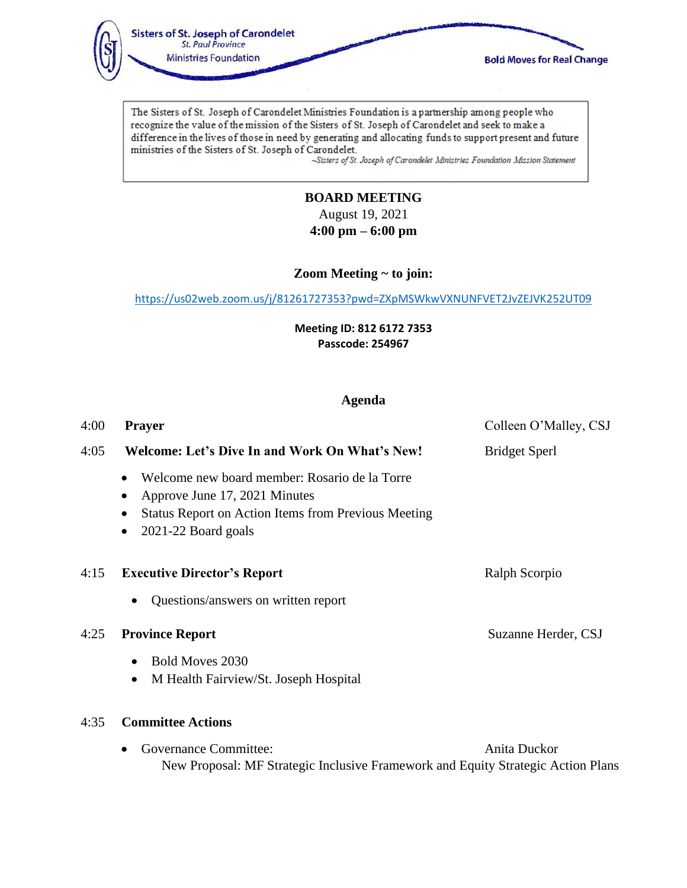

The Sisters of St. Joseph of Carondelet Ministries Foundation is a partnership among people who recognize the value of the mission of the Sisters of St. Joseph of Carondelet and seek to make a difference in the lives of those in need by generating and allocating funds to support present and future ministries of the Sisters of St. Joseph of Carondelet.

~Sisters of St. Joseph of Carondelet Ministries Foundation Mission Statement

# **BOARD MEETING** August 19, 2021

**4:00 pm – 6:00 pm**

**Zoom Meeting ~ to join:** 

<https://us02web.zoom.us/j/81261727353?pwd=ZXpMSWkwVXNUNFVET2JvZEJVK252UT09>

**Meeting ID: 812 6172 7353 Passcode: 254967**

# **Agenda**

| 4:00 | <b>Prayer</b>                                                                                                                                                                    | Colleen O'Malley, CSJ |
|------|----------------------------------------------------------------------------------------------------------------------------------------------------------------------------------|-----------------------|
| 4:05 | Welcome: Let's Dive In and Work On What's New!                                                                                                                                   | <b>Bridget Sperl</b>  |
|      | Welcome new board member: Rosario de la Torre<br>Approve June 17, 2021 Minutes<br><b>Status Report on Action Items from Previous Meeting</b><br>2021-22 Board goals<br>$\bullet$ |                       |
| 4:15 | <b>Executive Director's Report</b>                                                                                                                                               | Ralph Scorpio         |
|      | Questions/answers on written report<br>$\bullet$                                                                                                                                 |                       |
| 4:25 | <b>Province Report</b>                                                                                                                                                           | Suzanne Herder, CSJ   |
|      | Bold Moves 2030<br>$\bullet$                                                                                                                                                     |                       |
|      | M Health Fairview/St. Joseph Hospital<br>$\bullet$                                                                                                                               |                       |
| 4:35 | <b>Committee Actions</b>                                                                                                                                                         |                       |
|      | <b>Governance Committee:</b>                                                                                                                                                     | Anita Duckor          |

New Proposal: MF Strategic Inclusive Framework and Equity Strategic Action Plans